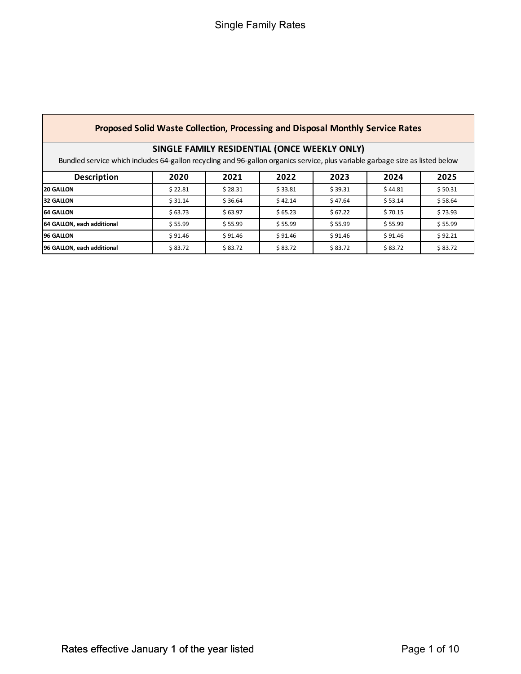## **Proposed Solid Waste Collection, Processing and Disposal Monthly Service Rates**

# **SINGLE FAMILY RESIDENTIAL (ONCE WEEKLY ONLY)**

Bundled service which includes 64-gallon recycling and 96-gallon organics service, plus variable garbage size as listed below

| <b>Description</b>         | 2020    | 2021    | 2022    | 2023    | 2024    | 2025    |
|----------------------------|---------|---------|---------|---------|---------|---------|
| <b>20 GALLON</b>           | \$22.81 | \$28.31 | \$33.81 | \$39.31 | \$44.81 | \$50.31 |
| <b>32 GALLON</b>           | \$31.14 | \$36.64 | \$42.14 | \$47.64 | \$53.14 | \$58.64 |
| <b>64 GALLON</b>           | \$63.73 | \$63.97 | \$65.23 | \$67.22 | \$70.15 | \$73.93 |
| 64 GALLON, each additional | \$55.99 | \$55.99 | \$55.99 | \$55.99 | \$55.99 | \$55.99 |
| <b>96 GALLON</b>           | \$91.46 | \$91.46 | \$91.46 | \$91.46 | \$91.46 | \$92.21 |
| 96 GALLON, each additional | \$83.72 | \$83.72 | \$83.72 | \$83.72 | \$83.72 | \$83.72 |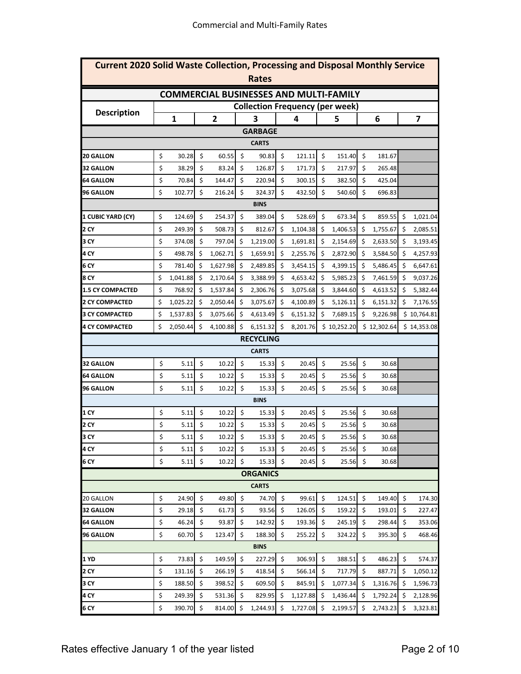| <b>Current 2020 Solid Waste Collection, Processing and Disposal Monthly Service</b> |    |              |    |                |         |                 |    |                         |    |                                               |      |             |     |             |
|-------------------------------------------------------------------------------------|----|--------------|----|----------------|---------|-----------------|----|-------------------------|----|-----------------------------------------------|------|-------------|-----|-------------|
| <b>Rates</b>                                                                        |    |              |    |                |         |                 |    |                         |    |                                               |      |             |     |             |
|                                                                                     |    |              |    |                |         |                 |    |                         |    | <b>COMMERCIAL BUSINESSES AND MULTI-FAMILY</b> |      |             |     |             |
| <b>Description</b>                                                                  |    |              |    |                |         |                 |    |                         |    | <b>Collection Frequency (per week)</b>        |      |             |     |             |
|                                                                                     |    | $\mathbf{1}$ |    | $\overline{2}$ |         | 3               |    | $\overline{\mathbf{4}}$ |    | 5                                             |      | 6           |     | 7           |
|                                                                                     |    |              |    |                |         | <b>GARBAGE</b>  |    |                         |    |                                               |      |             |     |             |
|                                                                                     |    |              |    |                |         | <b>CARTS</b>    |    |                         |    |                                               |      |             |     |             |
| <b>20 GALLON</b>                                                                    | \$ | 30.28        | \$ | 60.55          | \$      | 90.83           | \$ | 121.11                  | \$ | 151.40                                        | \$   | 181.67      |     |             |
| <b>32 GALLON</b>                                                                    | \$ | 38.29        | \$ | 83.24          | \$      | 126.87          | \$ | 171.73                  | \$ | 217.97                                        | \$   | 265.48      |     |             |
| <b>64 GALLON</b>                                                                    | \$ | 70.84        | \$ | 144.47         | \$      | 220.94          | \$ | 300.15                  | \$ | 382.50                                        | \$   | 425.04      |     |             |
| <b>96 GALLON</b>                                                                    | \$ | 102.77       | \$ | 216.24         | \$      | 324.37          | \$ | 432.50                  | \$ | 540.60                                        | \$   | 696.83      |     |             |
|                                                                                     |    |              |    |                |         | <b>BINS</b>     |    |                         |    |                                               |      |             |     |             |
| 1 CUBIC YARD (CY)                                                                   | \$ | 124.69       | \$ | 254.37         | \$      | 389.04          | \$ | 528.69                  | \$ | 673.34                                        | \$   | 859.55      | \$  | 1,021.04    |
| 2 CY                                                                                | \$ | 249.39       | \$ | 508.73         | \$      | 812.67          | \$ | 1,104.38                | \$ | 1,406.53                                      | \$   | 1,755.67    | -\$ | 2,085.51    |
| 3 CY                                                                                | \$ | 374.08       | \$ | 797.04         | \$      | 1,219.00        | \$ | 1,691.81                | \$ | 2,154.69                                      | \$   | 2,633.50    | -\$ | 3,193.45    |
| 4 CY                                                                                | \$ | 498.78       | \$ | 1,062.71       | \$      | 1,659.91        | \$ | 2,255.76                | \$ | 2,872.90                                      | \$   | 3,584.50    | -\$ | 4,257.93    |
| 6 CY                                                                                | \$ | 781.40       | \$ | 1,627.98       | \$      | 2,489.85        | \$ | 3,454.15                | \$ | 4,399.15                                      | \$   | 5,486.45    | \$  | 6,647.61    |
| 8 CY                                                                                | \$ | 1,041.88     | \$ | 2,170.64       | \$      | 3,388.99        | \$ | 4,653.42                | \$ | 5,985.23                                      | - \$ | 7,461.59    | -\$ | 9,037.26    |
| <b>1.5 CY COMPACTED</b>                                                             | \$ | 768.92       | \$ | 1,537.84       | \$      | 2,306.76        | \$ | 3,075.68                | \$ | 3,844.60                                      | \$   | 4,613.52    | \$  | 5,382.44    |
| <b>2 CY COMPACTED</b>                                                               | \$ | 1,025.22     | \$ | 2,050.44       | \$      | 3,075.67        | \$ | 4,100.89                | \$ | 5,126.11                                      | \$   | 6,151.32    | \$  | 7,176.55    |
| <b>3 CY COMPACTED</b>                                                               | \$ | 1,537.83     | \$ | 3,075.66       | \$      | 4,613.49        | \$ | 6,151.32                | \$ | 7,689.15                                      | \$   | 9,226.98    |     | \$10,764.81 |
| <b>4 CY COMPACTED</b>                                                               | \$ | 2,050.44     | \$ | 4,100.88       | Ś       | 6,151.32        | \$ | 8,201.76                |    | \$10,252.20                                   |      | \$12,302.64 |     | \$14,353.08 |
| <b>RECYCLING</b>                                                                    |    |              |    |                |         |                 |    |                         |    |                                               |      |             |     |             |
|                                                                                     |    |              |    |                |         | <b>CARTS</b>    |    |                         |    |                                               |      |             |     |             |
| <b>32 GALLON</b>                                                                    | \$ | 5.11         | \$ | 10.22          | \$      | 15.33           | \$ | 20.45                   | \$ | 25.56                                         | \$   | 30.68       |     |             |
| <b>64 GALLON</b>                                                                    | \$ | 5.11         | \$ | 10.22          | \$      | 15.33           | \$ | 20.45                   | \$ | 25.56                                         | \$   | 30.68       |     |             |
| <b>96 GALLON</b>                                                                    | \$ | 5.11         | \$ | 10.22          | \$      | 15.33           | \$ | 20.45                   | \$ | 25.56                                         | \$   | 30.68       |     |             |
|                                                                                     |    |              |    |                |         | <b>BINS</b>     |    |                         |    |                                               |      |             |     |             |
| 1 CY                                                                                | \$ | 5.11         | \$ | 10.22          | $\zeta$ | 15.33           | \$ | 20.45                   | \$ | 25.56                                         | \$   | 30.68       |     |             |
| <b>2 CY</b>                                                                         | \$ | 5.11         | \$ | 10.22          | \$      | 15.33           | \$ | 20.45                   | \$ | 25.56                                         | \$   | 30.68       |     |             |
| 3 CY                                                                                | \$ | 5.11         | \$ | 10.22          | \$      | 15.33           | \$ | 20.45                   | \$ | 25.56                                         | \$   | 30.68       |     |             |
| 4 CY                                                                                | \$ | 5.11         | \$ | 10.22          | \$      | 15.33           | \$ | 20.45                   | \$ | 25.56                                         | \$   | 30.68       |     |             |
| 6 CY                                                                                | \$ | 5.11         | \$ | 10.22          | \$      | 15.33           | \$ | 20.45                   | \$ | 25.56                                         | \$   | 30.68       |     |             |
|                                                                                     |    |              |    |                |         | <b>ORGANICS</b> |    |                         |    |                                               |      |             |     |             |
|                                                                                     |    |              |    |                |         | <b>CARTS</b>    |    |                         |    |                                               |      |             |     |             |
| 20 GALLON                                                                           | \$ | 24.90        | \$ | 49.80          | \$      | 74.70           | \$ | 99.61                   | \$ | 124.51                                        | \$   | 149.40      | \$  | 174.30      |
| <b>32 GALLON</b>                                                                    | \$ | 29.18        | \$ | 61.73          | \$      | 93.56           | \$ | 126.05                  | \$ | 159.22                                        | \$   | 193.01      | \$  | 227.47      |
| <b>64 GALLON</b>                                                                    | \$ | 46.24        | \$ | 93.87          | \$      | 142.92          | \$ | 193.36                  | \$ | 245.19                                        | \$   | 298.44      | \$  | 353.06      |
| <b>96 GALLON</b>                                                                    | \$ | 60.70        | \$ | 123.47         | \$      | 188.30          | \$ | 255.22                  | \$ | 324.22                                        | \$   | 395.30      | \$  | 468.46      |
|                                                                                     |    |              |    |                |         | <b>BINS</b>     |    |                         |    |                                               |      |             |     |             |
| <b>1 YD</b>                                                                         | \$ | 73.83        | \$ | 149.59         | \$      | 227.29          | \$ | 306.93                  | \$ | 388.51                                        | \$   | 486.23      | \$  | 574.37      |
| 2 CY                                                                                | \$ | 131.16       | \$ | 266.19         | \$      | 418.54          | \$ | 566.14                  | \$ | 717.79                                        | \$   | 887.71      | \$  | 1,050.12    |
| 3 CY                                                                                | \$ | 188.50       | \$ | 398.52         | \$      | 609.50          | \$ | 845.91                  | \$ | 1,077.34                                      | \$   | 1,316.76    | -\$ | 1,596.73    |
| 4 CY                                                                                | \$ | 249.39       | \$ | 531.36         | \$      | 829.95          | \$ | 1,127.88                | \$ | 1,436.44                                      | \$   | 1,792.24    | -\$ | 2,128.96    |
| 6 CY                                                                                | \$ | 390.70       | \$ | 814.00         | \$      | 1,244.93        | \$ | 1,727.08                | \$ | 2,199.57                                      | \$   | 2,743.23    | \$  | 3,323.81    |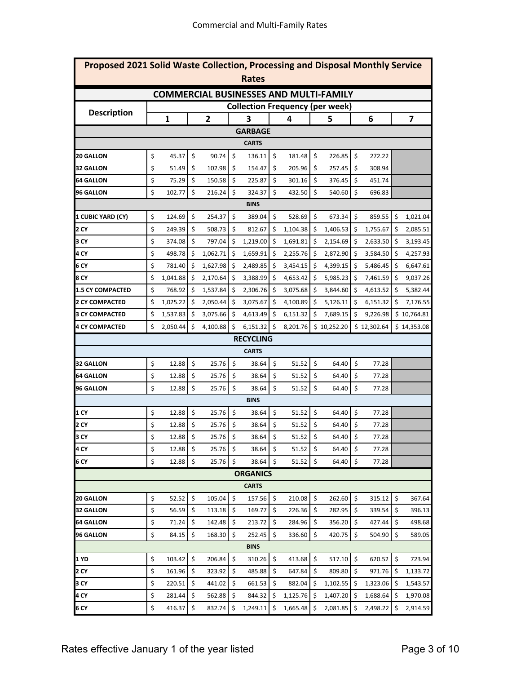| Proposed 2021 Solid Waste Collection, Processing and Disposal Monthly Service<br>Rates |    |              |    |                |         |                 |    |          |    |                                               |                           |             |         |                         |
|----------------------------------------------------------------------------------------|----|--------------|----|----------------|---------|-----------------|----|----------|----|-----------------------------------------------|---------------------------|-------------|---------|-------------------------|
|                                                                                        |    |              |    |                |         |                 |    |          |    | <b>COMMERCIAL BUSINESSES AND MULTI-FAMILY</b> |                           |             |         |                         |
|                                                                                        |    |              |    |                |         |                 |    |          |    | <b>Collection Frequency (per week)</b>        |                           |             |         |                         |
| <b>Description</b>                                                                     |    | $\mathbf{1}$ |    | $\overline{2}$ |         | 3               |    | 4        |    | 5                                             |                           | 6           |         | $\overline{\mathbf{z}}$ |
|                                                                                        |    |              |    |                |         | <b>GARBAGE</b>  |    |          |    |                                               |                           |             |         |                         |
|                                                                                        |    |              |    |                |         | <b>CARTS</b>    |    |          |    |                                               |                           |             |         |                         |
| <b>20 GALLON</b>                                                                       | \$ | 45.37        | \$ | 90.74          | \$      | 136.11          | \$ | 181.48   | \$ | 226.85                                        | \$                        | 272.22      |         |                         |
| <b>32 GALLON</b>                                                                       | \$ | 51.49        | \$ | 102.98         | \$      | 154.47          | \$ | 205.96   | \$ | 257.45                                        | \$                        | 308.94      |         |                         |
| <b>64 GALLON</b>                                                                       | \$ | 75.29        | \$ | 150.58         | \$      | 225.87          | \$ | 301.16   | \$ | 376.45                                        | \$                        | 451.74      |         |                         |
| <b>96 GALLON</b>                                                                       | \$ | 102.77       | \$ | 216.24         | \$      | 324.37          | \$ | 432.50   | \$ | 540.60                                        | \$                        | 696.83      |         |                         |
|                                                                                        |    |              |    |                |         | <b>BINS</b>     |    |          |    |                                               |                           |             |         |                         |
| 1 CUBIC YARD (CY)                                                                      | \$ | 124.69       | \$ | 254.37         | \$      | 389.04          | \$ | 528.69   | \$ | 673.34                                        | \$                        | 859.55      | \$      | 1,021.04                |
| 2 CY                                                                                   | \$ | 249.39       | \$ | 508.73         | \$      | 812.67          | \$ | 1,104.38 | \$ | 1,406.53                                      | \$                        | 1,755.67    | \$      | 2,085.51                |
| 3 CY                                                                                   | \$ | 374.08       | \$ | 797.04         | \$      | 1,219.00        | \$ | 1,691.81 | \$ | 2,154.69                                      | \$                        | 2,633.50    | -\$     | 3,193.45                |
| 4 CY                                                                                   | \$ | 498.78       | \$ | 1,062.71       | \$      | 1,659.91        | \$ | 2,255.76 | \$ | 2,872.90                                      | \$                        | 3,584.50    | -Ś      | 4,257.93                |
| 6 CY                                                                                   | \$ | 781.40       | \$ | 1,627.98       | \$      | 2,489.85        | \$ | 3,454.15 | \$ | 4,399.15                                      | \$                        | 5,486.45    | \$      | 6,647.61                |
| 8 CY                                                                                   | \$ | 1,041.88     | \$ | 2,170.64       | \$      | 3,388.99        | \$ | 4,653.42 | \$ | 5,985.23                                      | \$                        | 7,461.59    | \$      | 9,037.26                |
| <b>1.5 CY COMPACTED</b>                                                                | \$ | 768.92       | \$ | 1,537.84       | \$      | 2,306.76        | \$ | 3,075.68 | \$ | 3,844.60                                      | \$                        | 4,613.52    | \$      | 5,382.44                |
| <b>2 CY COMPACTED</b>                                                                  | \$ | 1,025.22     | \$ | 2,050.44       | \$      | 3,075.67        | \$ | 4,100.89 | \$ | 5,126.11                                      | \$                        | 6,151.32    | \$      | 7,176.55                |
| <b>3 CY COMPACTED</b>                                                                  | \$ | 1,537.83     | \$ | 3,075.66       | \$      | 4,613.49        | \$ | 6,151.32 | \$ | 7,689.15                                      | \$                        | 9,226.98    |         | \$10,764.81             |
| <b>4 CY COMPACTED</b>                                                                  | \$ | 2,050.44     | \$ | 4,100.88       | \$      | 6,151.32        | \$ | 8,201.76 |    | \$10,252.20                                   |                           | \$12,302.64 |         | \$14,353.08             |
| <b>RECYCLING</b>                                                                       |    |              |    |                |         |                 |    |          |    |                                               |                           |             |         |                         |
|                                                                                        |    |              |    |                |         | <b>CARTS</b>    |    |          |    |                                               |                           |             |         |                         |
| <b>32 GALLON</b>                                                                       | \$ | 12.88        | \$ | 25.76          | \$      | 38.64           | \$ | 51.52    | \$ | 64.40                                         | $\boldsymbol{\mathsf{S}}$ | 77.28       |         |                         |
| <b>64 GALLON</b>                                                                       | \$ | 12.88        | \$ | 25.76          | \$      | 38.64           | \$ | 51.52    | \$ | 64.40                                         | \$                        | 77.28       |         |                         |
| <b>96 GALLON</b>                                                                       | \$ | 12.88        | \$ | 25.76          | \$      | 38.64           | \$ | 51.52    | \$ | 64.40                                         | \$                        | 77.28       |         |                         |
|                                                                                        |    |              |    |                |         | <b>BINS</b>     |    |          |    |                                               |                           |             |         |                         |
| 1 CY                                                                                   | \$ | 12.88        | \$ | 25.76          | \$      | 38.64           | \$ | 51.52    | \$ | 64.40                                         | \$                        | 77.28       |         |                         |
| <b>2 CY</b>                                                                            | \$ | 12.88        | \$ | 25.76          | \$      | 38.64           | \$ | 51.52    | \$ | 64.40                                         | \$                        | 77.28       |         |                         |
| 3 CY                                                                                   | \$ | 12.88        | \$ | 25.76          | $\zeta$ | 38.64           | \$ | 51.52    | \$ | 64.40                                         | \$                        | 77.28       |         |                         |
| 4 CY                                                                                   | \$ | 12.88        | \$ | 25.76          | \$      | 38.64           | \$ | 51.52    | \$ | 64.40                                         | \$                        | 77.28       |         |                         |
| 6 CY                                                                                   | \$ | 12.88        | \$ | 25.76          | \$      | 38.64           | \$ | 51.52    | \$ | 64.40                                         | \$                        | 77.28       |         |                         |
|                                                                                        |    |              |    |                |         | <b>ORGANICS</b> |    |          |    |                                               |                           |             |         |                         |
|                                                                                        |    |              |    |                |         | <b>CARTS</b>    |    |          |    |                                               |                           |             |         |                         |
| <b>20 GALLON</b>                                                                       | \$ | 52.52        | \$ | 105.04         | \$      | 157.56          | \$ | 210.08   | \$ | 262.60                                        | \$                        | 315.12      | \$      | 367.64                  |
| <b>32 GALLON</b>                                                                       | \$ | 56.59        | \$ | 113.18         | \$      | 169.77          | \$ | 226.36   | \$ | 282.95                                        | \$                        | 339.54      | \$      | 396.13                  |
| <b>64 GALLON</b>                                                                       | \$ | 71.24        | \$ | 142.48         | \$      | 213.72          | \$ | 284.96   | \$ | 356.20                                        | \$                        | 427.44      | \$      | 498.68                  |
| <b>96 GALLON</b>                                                                       | \$ | 84.15        | \$ | 168.30         | \$      | 252.45          | \$ | 336.60   | \$ | 420.75                                        | \$                        | 504.90      | $\zeta$ | 589.05                  |
|                                                                                        |    |              |    |                |         | <b>BINS</b>     |    |          |    |                                               |                           |             |         |                         |
| 1 YD                                                                                   | \$ | 103.42       | \$ | 206.84         | \$      | 310.26          | \$ | 413.68   | \$ | 517.10                                        | \$                        | 620.52      | $\zeta$ | 723.94                  |
| 2 CY                                                                                   | \$ | 161.96       | \$ | 323.92         | \$      | 485.88          | \$ | 647.84   | \$ | 809.80                                        | \$                        | 971.76      | \$,     | 1,133.72                |
| 3 CY                                                                                   | \$ | 220.51       | \$ | 441.02         | \$      | 661.53          | \$ | 882.04   | \$ | 1,102.55                                      | S.                        | 1,323.06    | -\$     | 1,543.57                |
| 4 CY                                                                                   | \$ | 281.44       | \$ | 562.88         | \$      | 844.32          | \$ | 1,125.76 | \$ | 1,407.20                                      | \$.                       | 1,688.64    | -\$     | 1,970.08                |
| 6 CY                                                                                   | \$ | 416.37       | \$ | 832.74         | \$      | 1,249.11        | \$ | 1,665.48 | \$ | 2,081.85                                      | \$                        | 2,498.22    | \$      | 2,914.59                |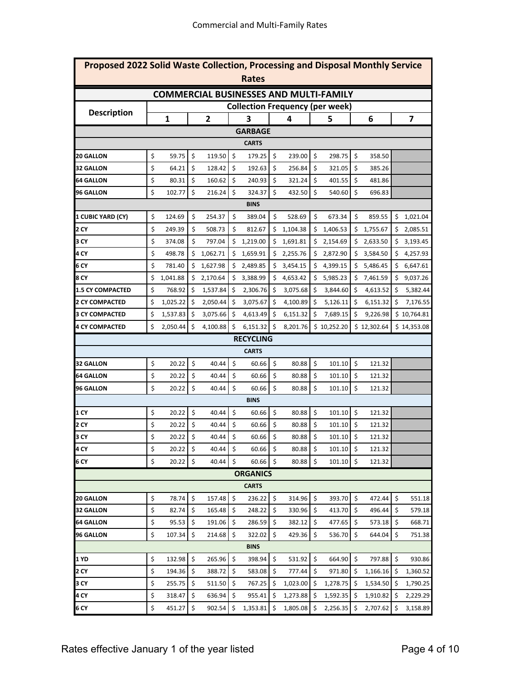| Proposed 2022 Solid Waste Collection, Processing and Disposal Monthly Service<br>Rates |    |              |    |                |         |                                               |    |          |    |             |                           |             |     |                         |
|----------------------------------------------------------------------------------------|----|--------------|----|----------------|---------|-----------------------------------------------|----|----------|----|-------------|---------------------------|-------------|-----|-------------------------|
|                                                                                        |    |              |    |                |         | <b>COMMERCIAL BUSINESSES AND MULTI-FAMILY</b> |    |          |    |             |                           |             |     |                         |
|                                                                                        |    |              |    |                |         | <b>Collection Frequency (per week)</b>        |    |          |    |             |                           |             |     |                         |
| <b>Description</b>                                                                     |    | $\mathbf{1}$ |    | $\overline{2}$ |         | 3                                             |    | 4        |    | 5           |                           | 6           |     | $\overline{\mathbf{z}}$ |
|                                                                                        |    |              |    |                |         | <b>GARBAGE</b>                                |    |          |    |             |                           |             |     |                         |
|                                                                                        |    |              |    |                |         | <b>CARTS</b>                                  |    |          |    |             |                           |             |     |                         |
| 20 GALLON                                                                              | \$ | 59.75        | \$ | 119.50         | \$      | 179.25                                        | \$ | 239.00   | \$ | 298.75      | \$                        | 358.50      |     |                         |
| <b>32 GALLON</b>                                                                       | \$ | 64.21        | \$ | 128.42         | \$      | 192.63                                        | \$ | 256.84   | \$ | 321.05      | \$                        | 385.26      |     |                         |
| <b>64 GALLON</b>                                                                       | \$ | 80.31        | \$ | 160.62         | \$      | 240.93                                        | \$ | 321.24   | \$ | 401.55      | \$                        | 481.86      |     |                         |
| <b>96 GALLON</b>                                                                       | \$ | 102.77       | \$ | 216.24         | \$      | 324.37                                        | \$ | 432.50   | \$ | 540.60      | \$                        | 696.83      |     |                         |
|                                                                                        |    |              |    |                |         | <b>BINS</b>                                   |    |          |    |             |                           |             |     |                         |
| 1 CUBIC YARD (CY)                                                                      | \$ | 124.69       | \$ | 254.37         | \$      | 389.04                                        | \$ | 528.69   | \$ | 673.34      | \$                        | 859.55      | \$  | 1,021.04                |
| 2 CY                                                                                   | \$ | 249.39       | \$ | 508.73         | \$      | 812.67                                        | \$ | 1,104.38 | \$ | 1,406.53    | \$                        | 1,755.67    | \$  | 2,085.51                |
| 3 CY                                                                                   | \$ | 374.08       | \$ | 797.04         | \$      | 1,219.00                                      | \$ | 1,691.81 | \$ | 2,154.69    | \$                        | 2,633.50    | \$  | 3,193.45                |
| 4 CY                                                                                   | \$ | 498.78       | \$ | 1,062.71       | \$      | 1,659.91                                      | \$ | 2,255.76 | \$ | 2,872.90    | \$                        | 3,584.50    |     | 4,257.93                |
| 6 CY                                                                                   | \$ | 781.40       | \$ | 1,627.98       | \$      | 2,489.85                                      | \$ | 3,454.15 | \$ | 4,399.15    | \$                        | 5,486.45    | \$  | 6,647.61                |
| 8 CY                                                                                   | \$ | 1,041.88     | \$ | 2,170.64       | \$      | 3,388.99                                      | \$ | 4,653.42 | \$ | 5,985.23    | \$                        | 7,461.59    | \$  | 9,037.26                |
| <b>1.5 CY COMPACTED</b>                                                                | \$ | 768.92       | \$ | 1,537.84       | \$      | 2,306.76                                      | \$ | 3,075.68 | \$ | 3,844.60    | \$                        | 4,613.52    | \$  | 5,382.44                |
| <b>2 CY COMPACTED</b>                                                                  | \$ | 1,025.22     | \$ | 2,050.44       | \$      | 3,075.67                                      | \$ | 4,100.89 | \$ | 5,126.11    | \$                        | 6,151.32    | \$  | 7,176.55                |
| <b>3 CY COMPACTED</b>                                                                  | \$ | 1,537.83     | \$ | 3,075.66       | \$      | 4,613.49                                      | \$ | 6,151.32 | \$ | 7,689.15    | \$                        | 9,226.98    |     | \$10,764.81             |
| <b>4 CY COMPACTED</b>                                                                  | \$ | 2,050.44     | \$ | 4,100.88       | \$      | 6,151.32                                      | \$ | 8,201.76 |    | \$10,252.20 |                           | \$12,302.64 |     | \$14,353.08             |
| <b>RECYCLING</b>                                                                       |    |              |    |                |         |                                               |    |          |    |             |                           |             |     |                         |
|                                                                                        |    |              |    |                |         | <b>CARTS</b>                                  |    |          |    |             |                           |             |     |                         |
| <b>32 GALLON</b>                                                                       | \$ | 20.22        | \$ | 40.44          | \$      | 60.66                                         | \$ | 80.88    | \$ | 101.10      | $\boldsymbol{\mathsf{S}}$ | 121.32      |     |                         |
| <b>64 GALLON</b>                                                                       | \$ | 20.22        | \$ | 40.44          | \$      | 60.66                                         | \$ | 80.88    | \$ | 101.10      | \$                        | 121.32      |     |                         |
| <b>96 GALLON</b>                                                                       | \$ | 20.22        | \$ | 40.44          | \$      | 60.66                                         | \$ | 80.88    | \$ | 101.10      | \$                        | 121.32      |     |                         |
|                                                                                        |    |              |    |                |         | <b>BINS</b>                                   |    |          |    |             |                           |             |     |                         |
| 1 CY                                                                                   | \$ | 20.22        | \$ | 40.44          | \$      | 60.66                                         | \$ | 80.88    | \$ | 101.10      | \$                        | 121.32      |     |                         |
| <b>2 CY</b>                                                                            | \$ | 20.22        | \$ | 40.44          | \$      | 60.66                                         | \$ | 80.88    | \$ | 101.10      | \$                        | 121.32      |     |                         |
| 3 CY                                                                                   | \$ | 20.22        | \$ | 40.44          | \$      | 60.66                                         | \$ | 80.88    | \$ | 101.10      | \$                        | 121.32      |     |                         |
| 4 CY                                                                                   | \$ | 20.22        | \$ | 40.44          | \$      | 60.66                                         | \$ | 80.88    | \$ | 101.10      | \$                        | 121.32      |     |                         |
| 6 CY                                                                                   | \$ | 20.22        | \$ | 40.44          | \$      | 60.66                                         | \$ | 80.88    | \$ | 101.10      | \$                        | 121.32      |     |                         |
|                                                                                        |    |              |    |                |         | <b>ORGANICS</b>                               |    |          |    |             |                           |             |     |                         |
|                                                                                        |    |              |    |                |         | <b>CARTS</b>                                  |    |          |    |             |                           |             |     |                         |
| <b>20 GALLON</b>                                                                       | \$ | 78.74        | \$ | 157.48         | $\zeta$ | 236.22                                        | \$ | 314.96   | \$ | 393.70      | $\ddot{\mathsf{S}}$       | 472.44      | \$  | 551.18                  |
| <b>32 GALLON</b>                                                                       | \$ | 82.74        | \$ | 165.48         | \$      | 248.22                                        | \$ | 330.96   | \$ | 413.70      | \$                        | 496.44      | \$  | 579.18                  |
| <b>64 GALLON</b>                                                                       | \$ | 95.53        | \$ | 191.06         | \$      | 286.59                                        | \$ | 382.12   | \$ | 477.65      | \$                        | 573.18      | \$  | 668.71                  |
| <b>96 GALLON</b>                                                                       | \$ | 107.34       | \$ | 214.68         | \$      | 322.02                                        | \$ | 429.36   | \$ | 536.70      | \$                        | 644.04      | \$  | 751.38                  |
|                                                                                        |    |              |    |                |         | <b>BINS</b>                                   |    |          |    |             |                           |             |     |                         |
| 1 YD                                                                                   | \$ | 132.98       | \$ | 265.96         | $\zeta$ | 398.94                                        | \$ | 531.92   | \$ | 664.90      | \$                        | 797.88      | \$  | 930.86                  |
| 2 CY                                                                                   | \$ | 194.36       | \$ | 388.72         | \$      | 583.08                                        | \$ | 777.44   | \$ | 971.80      | \$                        | 1,166.16    | \$  | 1,360.52                |
| 3 CY                                                                                   | \$ | 255.75       | \$ | 511.50         | \$      | 767.25                                        | \$ | 1,023.00 | \$ | 1,278.75    | \$.                       | 1,534.50    | -\$ | 1,790.25                |
| 4 CY                                                                                   | \$ | 318.47       | \$ | 636.94         | \$      | 955.41                                        | \$ | 1,273.88 | \$ | 1,592.35    | \$.                       | 1,910.82    | S.  | 2,229.29                |
| 6 CY                                                                                   | \$ | 451.27       | \$ | 902.54         | $\zeta$ | 1,353.81                                      | \$ | 1,805.08 | \$ | 2,256.35    | \$                        | 2,707.62    | \$  | 3,158.89                |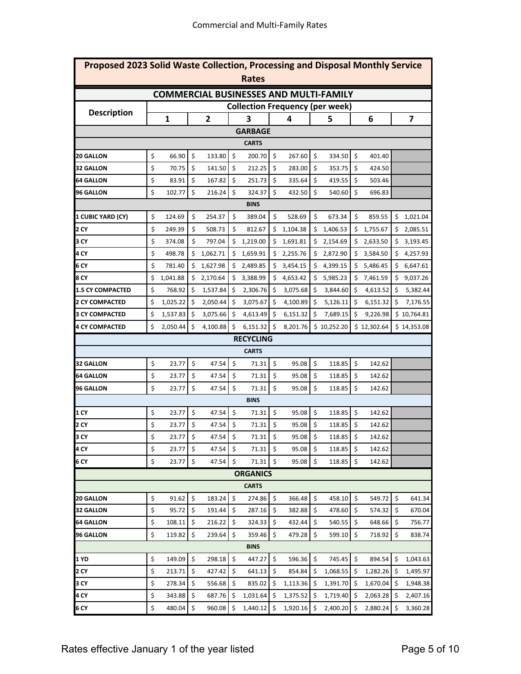| Proposed 2023 Solid Waste Collection, Processing and Disposal Monthly Service<br>Rates |    |              |    |                |         |                 |         |          |                           |                                               |    |             |    |                         |
|----------------------------------------------------------------------------------------|----|--------------|----|----------------|---------|-----------------|---------|----------|---------------------------|-----------------------------------------------|----|-------------|----|-------------------------|
|                                                                                        |    |              |    |                |         |                 |         |          |                           | <b>COMMERCIAL BUSINESSES AND MULTI-FAMILY</b> |    |             |    |                         |
|                                                                                        |    |              |    |                |         |                 |         |          |                           | <b>Collection Frequency (per week)</b>        |    |             |    |                         |
| <b>Description</b>                                                                     |    | $\mathbf{1}$ |    | $\overline{2}$ |         | 3               |         | 4        |                           | 5                                             |    | 6           |    | $\overline{\mathbf{z}}$ |
|                                                                                        |    |              |    |                |         | <b>GARBAGE</b>  |         |          |                           |                                               |    |             |    |                         |
|                                                                                        |    |              |    |                |         | <b>CARTS</b>    |         |          |                           |                                               |    |             |    |                         |
| 20 GALLON                                                                              | \$ | 66.90        | \$ | 133.80         | \$      | 200.70          | \$      | 267.60   | \$                        | 334.50                                        | \$ | 401.40      |    |                         |
| <b>32 GALLON</b>                                                                       | \$ | 70.75        | \$ | 141.50         | \$      | 212.25          | \$      | 283.00   | \$                        | 353.75                                        | \$ | 424.50      |    |                         |
| <b>64 GALLON</b>                                                                       | \$ | 83.91        | \$ | 167.82         | \$      | 251.73          | \$      | 335.64   | \$                        | 419.55                                        | \$ | 503.46      |    |                         |
| <b>96 GALLON</b>                                                                       | \$ | 102.77       | \$ | 216.24         | \$      | 324.37          | \$      | 432.50   | \$                        | 540.60                                        | \$ | 696.83      |    |                         |
|                                                                                        |    |              |    |                |         | <b>BINS</b>     |         |          |                           |                                               |    |             |    |                         |
| 1 CUBIC YARD (CY)                                                                      | \$ | 124.69       | \$ | 254.37         | \$      | 389.04          | \$      | 528.69   | \$                        | 673.34                                        | \$ | 859.55      | \$ | 1,021.04                |
| 2 CY                                                                                   | \$ | 249.39       | \$ | 508.73         | \$      | 812.67          | \$      | 1,104.38 | \$                        | 1,406.53                                      | \$ | 1,755.67    | \$ | 2,085.51                |
| 3 CY                                                                                   | \$ | 374.08       | \$ | 797.04         | \$      | 1,219.00        | \$      | 1,691.81 | \$                        | 2,154.69                                      | \$ | 2,633.50    | \$ | 3,193.45                |
| 4 CY                                                                                   | \$ | 498.78       | \$ | 1,062.71       | \$      | 1,659.91        | \$      | 2,255.76 | \$                        | 2,872.90                                      | \$ | 3,584.50    | \$ | 4,257.93                |
| 6 CY                                                                                   | \$ | 781.40       | \$ | 1,627.98       | \$      | 2,489.85        | \$      | 3,454.15 | \$                        | 4,399.15                                      | \$ | 5,486.45    | \$ | 6,647.61                |
| 8 CY                                                                                   | \$ | 1,041.88     | \$ | 2,170.64       | \$      | 3,388.99        | \$      | 4,653.42 | \$                        | 5,985.23                                      | \$ | 7,461.59    | \$ | 9,037.26                |
| <b>1.5 CY COMPACTED</b>                                                                | \$ | 768.92       | \$ | 1,537.84       | \$      | 2,306.76        | \$      | 3,075.68 | \$                        | 3,844.60                                      | \$ | 4,613.52    | \$ | 5,382.44                |
| <b>2 CY COMPACTED</b>                                                                  | \$ | 1,025.22     | \$ | 2,050.44       | \$      | 3,075.67        | $\zeta$ | 4,100.89 | \$                        | 5,126.11                                      | \$ | 6,151.32    | \$ | 7,176.55                |
| <b>3 CY COMPACTED</b>                                                                  | \$ | 1,537.83     | \$ | 3,075.66       | \$      | 4,613.49        | \$      | 6,151.32 | \$                        | 7,689.15                                      | \$ | 9,226.98    |    | \$10,764.81             |
| <b>4 CY COMPACTED</b>                                                                  | \$ | 2,050.44     | \$ | 4,100.88       | \$      | 6,151.32        | $\zeta$ | 8,201.76 |                           | \$10,252.20                                   |    | \$12,302.64 |    | \$14,353.08             |
| <b>RECYCLING</b>                                                                       |    |              |    |                |         |                 |         |          |                           |                                               |    |             |    |                         |
|                                                                                        |    |              |    |                |         | <b>CARTS</b>    |         |          |                           |                                               |    |             |    |                         |
| <b>32 GALLON</b>                                                                       | \$ | 23.77        | \$ | 47.54          | \$      | 71.31           | \$      | 95.08    | \$                        | 118.85                                        | \$ | 142.62      |    |                         |
| <b>64 GALLON</b>                                                                       | \$ | 23.77        | \$ | 47.54          | \$      | 71.31           | \$      | 95.08    | \$                        | 118.85                                        | \$ | 142.62      |    |                         |
| <b>96 GALLON</b>                                                                       | \$ | 23.77        | \$ | 47.54          | \$      | 71.31           | \$      | 95.08    | \$                        | 118.85                                        | \$ | 142.62      |    |                         |
|                                                                                        |    |              |    |                |         | <b>BINS</b>     |         |          |                           |                                               |    |             |    |                         |
| 1 CY                                                                                   | \$ | 23.77        | \$ | 47.54          | \$      | 71.31           | \$      | 95.08    | \$                        | 118.85                                        | \$ | 142.62      |    |                         |
| 2 CY                                                                                   | \$ | 23.77        | \$ | 47.54          | \$      | 71.31           | \$      | 95.08    | \$                        | 118.85                                        | \$ | 142.62      |    |                         |
| 3 CY                                                                                   | \$ | 23.77        | \$ | 47.54          | $\zeta$ | 71.31           | \$      | 95.08    | $\boldsymbol{\mathsf{S}}$ | 118.85                                        | \$ | 142.62      |    |                         |
| 4 CY                                                                                   | \$ | 23.77        | \$ | 47.54          | \$      | 71.31           | \$      | 95.08    | \$                        | 118.85                                        | \$ | 142.62      |    |                         |
| 6 CY                                                                                   | \$ | 23.77        | \$ | 47.54          | \$      | 71.31           | \$      | 95.08    | \$                        | 118.85                                        | \$ | 142.62      |    |                         |
|                                                                                        |    |              |    |                |         | <b>ORGANICS</b> |         |          |                           |                                               |    |             |    |                         |
|                                                                                        |    |              |    |                |         | <b>CARTS</b>    |         |          |                           |                                               |    |             |    |                         |
| <b>20 GALLON</b>                                                                       | \$ | 91.62        | \$ | 183.24         | $\zeta$ | 274.86          | \$      | 366.48   | \$                        | 458.10                                        | \$ | 549.72      | \$ | 641.34                  |
| <b>32 GALLON</b>                                                                       | \$ | 95.72        | \$ | 191.44         | \$      | 287.16          | \$      | 382.88   | \$                        | 478.60                                        | \$ | 574.32      | \$ | 670.04                  |
| <b>64 GALLON</b>                                                                       | \$ | 108.11       | \$ | 216.22         | \$      | 324.33          | \$      | 432.44   | \$                        | 540.55                                        | \$ | 648.66      | \$ | 756.77                  |
| <b>96 GALLON</b>                                                                       | \$ | 119.82       | \$ | 239.64         | \$      | 359.46          | \$      | 479.28   | \$                        | 599.10                                        | \$ | 718.92      | \$ | 838.74                  |
|                                                                                        |    |              |    |                |         | <b>BINS</b>     |         |          |                           |                                               |    |             |    |                         |
| 1 YD                                                                                   | \$ | 149.09       | \$ | 298.18         | $\zeta$ | 447.27          | \$      | 596.36   | \$                        | 745.45                                        | \$ | 894.54      | \$ | 1,043.63                |
| 2 CY                                                                                   | \$ | 213.71       | \$ | 427.42         | \$      | 641.13          | \$      | 854.84   | \$                        | 1,068.55                                      | \$ | 1,282.26    | S. | 1,495.97                |
| 3 CY                                                                                   | \$ | 278.34       | \$ | 556.68         | \$      | 835.02          | \$      | 1,113.36 | \$                        | 1,391.70                                      | \$ | 1,670.04    | S. | 1,948.38                |
| 4 CY                                                                                   | \$ | 343.88       | \$ | 687.76         | \$      | 1,031.64        | \$      | 1,375.52 | \$                        | 1,719.40                                      | \$ | 2,063.28    | S. | 2,407.16                |
| 6 CY                                                                                   | \$ | 480.04       | \$ | 960.08         | -\$     | 1,440.12        | \$      | 1,920.16 | \$                        | 2,400.20                                      | \$ | 2,880.24    | \$ | 3,360.28                |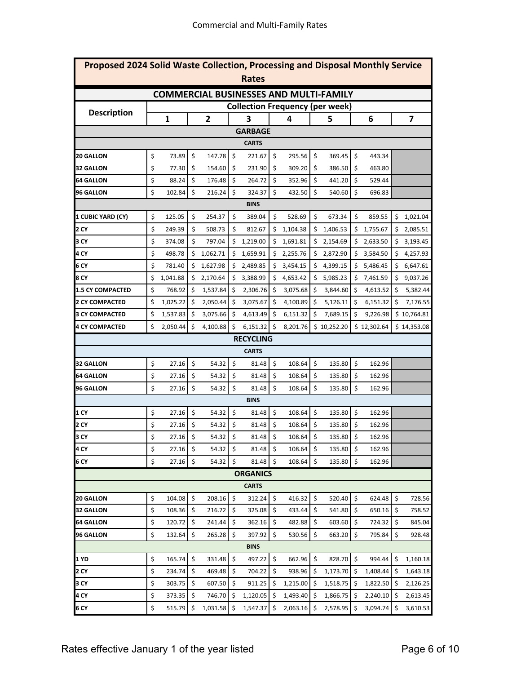| Proposed 2024 Solid Waste Collection, Processing and Disposal Monthly Service<br>Rates |    |              |    |                |                    |                 |         |          |    |                                               |                           |             |         |                         |
|----------------------------------------------------------------------------------------|----|--------------|----|----------------|--------------------|-----------------|---------|----------|----|-----------------------------------------------|---------------------------|-------------|---------|-------------------------|
|                                                                                        |    |              |    |                |                    |                 |         |          |    | <b>COMMERCIAL BUSINESSES AND MULTI-FAMILY</b> |                           |             |         |                         |
|                                                                                        |    |              |    |                |                    |                 |         |          |    | <b>Collection Frequency (per week)</b>        |                           |             |         |                         |
| <b>Description</b>                                                                     |    | $\mathbf{1}$ |    | $\overline{2}$ |                    | 3               |         | 4        |    | 5                                             |                           | 6           |         | $\overline{\mathbf{z}}$ |
|                                                                                        |    |              |    |                |                    | <b>GARBAGE</b>  |         |          |    |                                               |                           |             |         |                         |
|                                                                                        |    |              |    |                |                    | <b>CARTS</b>    |         |          |    |                                               |                           |             |         |                         |
| <b>20 GALLON</b>                                                                       | \$ | 73.89        | \$ | 147.78         | \$                 | 221.67          | \$      | 295.56   | \$ | 369.45                                        | \$                        | 443.34      |         |                         |
| <b>32 GALLON</b>                                                                       | \$ | 77.30        | \$ | 154.60         | \$                 | 231.90          | \$      | 309.20   | \$ | 386.50                                        | \$                        | 463.80      |         |                         |
| 64 GALLON                                                                              | \$ | 88.24        | \$ | 176.48         | \$                 | 264.72          | \$      | 352.96   | \$ | 441.20                                        | \$                        | 529.44      |         |                         |
| 96 GALLON                                                                              | \$ | 102.84       | \$ | 216.24         | \$                 | 324.37          | \$      | 432.50   | \$ | 540.60                                        | \$                        | 696.83      |         |                         |
|                                                                                        |    |              |    |                |                    | <b>BINS</b>     |         |          |    |                                               |                           |             |         |                         |
| 1 CUBIC YARD (CY)                                                                      | \$ | 125.05       | \$ | 254.37         | \$                 | 389.04          | \$      | 528.69   | \$ | 673.34                                        | \$                        | 859.55      | \$      | 1,021.04                |
| 2 CY                                                                                   | \$ | 249.39       | \$ | 508.73         | \$                 | 812.67          | \$      | 1,104.38 | \$ | 1,406.53                                      | \$                        | 1,755.67    | \$      | 2,085.51                |
| 3 CY                                                                                   | \$ | 374.08       | \$ | 797.04         | \$                 | 1,219.00        | \$      | 1,691.81 | \$ | 2,154.69                                      | \$                        | 2,633.50    | \$      | 3,193.45                |
| 4 CY                                                                                   | \$ | 498.78       | \$ | 1,062.71       | \$                 | 1,659.91        | \$      | 2,255.76 | \$ | 2,872.90                                      | \$                        | 3,584.50    |         | 4,257.93                |
| 6 CY                                                                                   | \$ | 781.40       | \$ | 1,627.98       | \$                 | 2,489.85        | \$      | 3,454.15 | \$ | 4,399.15                                      | \$                        | 5,486.45    | \$      | 6,647.61                |
| 8 CY                                                                                   | \$ | 1,041.88     | \$ | 2,170.64       | \$                 | 3,388.99        | \$      | 4,653.42 | \$ | 5,985.23                                      | \$                        | 7,461.59    | \$      | 9,037.26                |
| <b>1.5 CY COMPACTED</b>                                                                | \$ | 768.92       | \$ | 1,537.84       | \$                 | 2,306.76        | \$      | 3,075.68 | \$ | 3,844.60                                      | \$                        | 4,613.52    | \$      | 5,382.44                |
| 2 CY COMPACTED                                                                         | \$ | 1,025.22     | \$ | 2,050.44       | \$                 | 3,075.67        | \$      | 4,100.89 | \$ | 5,126.11                                      | \$                        | 6,151.32    | \$      | 7,176.55                |
| <b>3 CY COMPACTED</b>                                                                  | \$ | 1,537.83     | \$ | 3,075.66       | \$                 | 4,613.49        | \$      | 6,151.32 | \$ | 7,689.15                                      | \$                        | 9,226.98    |         | \$10,764.81             |
| <b>4 CY COMPACTED</b>                                                                  | \$ | 2,050.44     | \$ | 4,100.88       | \$                 | 6,151.32        | $\zeta$ | 8,201.76 |    | \$10,252.20                                   |                           | \$12,302.64 |         | \$14,353.08             |
| <b>RECYCLING</b>                                                                       |    |              |    |                |                    |                 |         |          |    |                                               |                           |             |         |                         |
|                                                                                        |    |              |    |                |                    | <b>CARTS</b>    |         |          |    |                                               |                           |             |         |                         |
| 32 GALLON                                                                              | \$ | 27.16        | \$ | 54.32          | \$                 | 81.48           | \$      | 108.64   | \$ | 135.80                                        | $\boldsymbol{\mathsf{S}}$ | 162.96      |         |                         |
| 64 GALLON                                                                              | \$ | 27.16        | \$ | 54.32          | \$                 | 81.48           | \$      | 108.64   | \$ | 135.80                                        | \$                        | 162.96      |         |                         |
| <b>96 GALLON</b>                                                                       | \$ | 27.16        | \$ | 54.32          | \$                 | 81.48           | \$      | 108.64   | \$ | 135.80                                        | \$                        | 162.96      |         |                         |
|                                                                                        |    |              |    |                |                    | <b>BINS</b>     |         |          |    |                                               |                           |             |         |                         |
| 1 CY                                                                                   | \$ | 27.16        | \$ | 54.32          | \$                 | 81.48           | \$      | 108.64   | \$ | 135.80                                        | \$                        | 162.96      |         |                         |
| 2 CY                                                                                   | \$ | 27.16        | \$ | 54.32          | \$                 | 81.48           | \$      | 108.64   | \$ | 135.80                                        | \$                        | 162.96      |         |                         |
| 3 CY                                                                                   | \$ | 27.16        | \$ | 54.32          | $\ddot{\varsigma}$ | 81.48           | $\zeta$ | 108.64   | \$ | 135.80                                        | \$                        | 162.96      |         |                         |
| 4 CY                                                                                   | \$ | 27.16        | \$ | 54.32          | \$                 | 81.48           | \$      | 108.64   | \$ | 135.80                                        | \$                        | 162.96      |         |                         |
| 6 CY                                                                                   | \$ | 27.16        | \$ | 54.32          | \$                 | 81.48           | \$      | 108.64   | \$ | 135.80                                        | \$                        | 162.96      |         |                         |
|                                                                                        |    |              |    |                |                    | <b>ORGANICS</b> |         |          |    |                                               |                           |             |         |                         |
|                                                                                        |    |              |    |                |                    | <b>CARTS</b>    |         |          |    |                                               |                           |             |         |                         |
| <b>20 GALLON</b>                                                                       | \$ | 104.08       | \$ | 208.16         | \$                 | 312.24          | \$      | 416.32   | \$ | 520.40                                        | \$                        | 624.48      | \$      | 728.56                  |
| <b>32 GALLON</b>                                                                       | \$ | 108.36       | \$ | 216.72         | \$                 | 325.08          | \$      | 433.44   | \$ | 541.80                                        | \$                        | 650.16      | \$      | 758.52                  |
| <b>64 GALLON</b>                                                                       | \$ | 120.72       | \$ | 241.44         | \$                 | 362.16          | \$      | 482.88   | \$ | 603.60                                        | \$                        | 724.32      | \$      | 845.04                  |
| 96 GALLON                                                                              | \$ | 132.64       | \$ | 265.28         | \$                 | 397.92          | \$      | 530.56   | \$ | 663.20                                        | \$                        | 795.84      | $\zeta$ | 928.48                  |
|                                                                                        |    |              |    |                |                    | <b>BINS</b>     |         |          |    |                                               |                           |             |         |                         |
| 1 YD                                                                                   | \$ | 165.74       | \$ | 331.48         | $\zeta$            | 497.22          | \$      | 662.96   | \$ | 828.70                                        | $\zeta$                   | 994.44      | -\$     | 1,160.18                |
| 2 CY                                                                                   | \$ | 234.74       | \$ | 469.48         | \$                 | 704.22          | \$      | 938.96   | \$ | 1,173.70                                      | \$                        | 1,408.44    | -\$     | 1,643.18                |
| 3 CY                                                                                   | \$ | 303.75       | \$ | 607.50         | \$                 | 911.25          | \$      | 1,215.00 | \$ | 1,518.75                                      | -\$                       | 1,822.50    | -\$     | 2,126.25                |
| 4 CY                                                                                   | \$ | 373.35       | \$ | 746.70         | \$                 | 1,120.05        | \$      | 1,493.40 | \$ | 1,866.75                                      | \$                        | 2,240.10    | -\$     | 2,613.45                |
| 6 CY                                                                                   | \$ | 515.79       | \$ | 1,031.58       | -\$                | 1,547.37        | \$      | 2,063.16 | \$ | 2,578.95                                      | \$                        | 3,094.74    | \$      | 3,610.53                |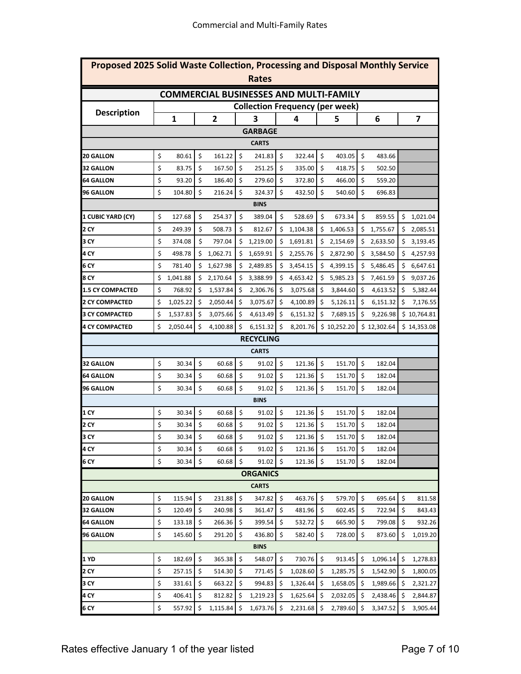| Proposed 2025 Solid Waste Collection, Processing and Disposal Monthly Service<br><b>Rates</b> |    |          |    |                         |         |                 |      |          |    |                                        |                           |             |     |             |
|-----------------------------------------------------------------------------------------------|----|----------|----|-------------------------|---------|-----------------|------|----------|----|----------------------------------------|---------------------------|-------------|-----|-------------|
| <b>COMMERCIAL BUSINESSES AND MULTI-FAMILY</b>                                                 |    |          |    |                         |         |                 |      |          |    |                                        |                           |             |     |             |
|                                                                                               |    |          |    |                         |         |                 |      |          |    |                                        |                           |             |     |             |
| <b>Description</b>                                                                            |    |          |    |                         |         |                 |      |          |    | <b>Collection Frequency (per week)</b> |                           |             |     |             |
|                                                                                               |    | 1        |    | $\overline{\mathbf{2}}$ |         | 3               |      | 4        |    | 5                                      |                           | 6           |     | 7           |
|                                                                                               |    |          |    |                         |         | <b>GARBAGE</b>  |      |          |    |                                        |                           |             |     |             |
|                                                                                               |    |          |    |                         |         | <b>CARTS</b>    |      |          |    |                                        |                           |             |     |             |
| <b>20 GALLON</b>                                                                              | \$ | 80.61    | \$ | 161.22                  | \$      | 241.83          | \$   | 322.44   | \$ | 403.05                                 | \$                        | 483.66      |     |             |
| <b>32 GALLON</b>                                                                              | \$ | 83.75    | \$ | 167.50                  | \$      | 251.25          | \$   | 335.00   | \$ | 418.75                                 | \$                        | 502.50      |     |             |
| <b>64 GALLON</b>                                                                              | \$ | 93.20    | \$ | 186.40                  | \$      | 279.60          | \$   | 372.80   | \$ | 466.00                                 | \$                        | 559.20      |     |             |
| <b>96 GALLON</b>                                                                              | \$ | 104.80   | \$ | 216.24                  | \$      | 324.37          | \$   | 432.50   | \$ | 540.60                                 | \$                        | 696.83      |     |             |
|                                                                                               |    |          |    |                         |         | <b>BINS</b>     |      |          |    |                                        |                           |             |     |             |
| 1 CUBIC YARD (CY)                                                                             | \$ | 127.68   | \$ | 254.37                  | \$      | 389.04          | \$   | 528.69   | \$ | 673.34                                 | \$                        | 859.55      | \$  | 1,021.04    |
| 2 CY                                                                                          | \$ | 249.39   | \$ | 508.73                  | \$      | 812.67          | \$   | 1,104.38 | \$ | 1,406.53                               | \$                        | 1,755.67    | \$  | 2,085.51    |
| 3 CY                                                                                          | \$ | 374.08   | \$ | 797.04                  | \$      | 1,219.00        | \$   | 1,691.81 | \$ | 2,154.69                               |                           | \$2,633.50  | \$  | 3,193.45    |
| 4 CY                                                                                          | \$ | 498.78   | \$ | 1,062.71                | Ś       | 1,659.91        | \$   | 2,255.76 | \$ | 2,872.90                               | \$                        | 3,584.50    | \$  | 4,257.93    |
| 6 CY                                                                                          | \$ | 781.40   | \$ | 1,627.98                | \$      | 2,489.85        | \$   | 3,454.15 | \$ | 4,399.15                               | \$                        | 5,486.45    | \$  | 6,647.61    |
| 8 CY                                                                                          | \$ | 1,041.88 | \$ | 2,170.64                | \$      | 3,388.99        | \$   | 4,653.42 | \$ | 5,985.23                               | \$                        | 7,461.59    | \$  | 9,037.26    |
| <b>1.5 CY COMPACTED</b>                                                                       | \$ | 768.92   | \$ | 1,537.84                | \$      | 2,306.76        | \$   | 3,075.68 | \$ | 3,844.60                               | \$                        | 4,613.52    | \$  | 5,382.44    |
| <b>2 CY COMPACTED</b>                                                                         | \$ | 1,025.22 | \$ | 2,050.44                | \$      | 3,075.67        | \$   | 4,100.89 | \$ | 5,126.11                               | \$                        | 6,151.32    | \$  | 7,176.55    |
| <b>3 CY COMPACTED</b>                                                                         | \$ | 1,537.83 | \$ | 3,075.66                | \$      | 4,613.49        | \$   | 6,151.32 | \$ | 7,689.15                               | \$                        | 9,226.98    |     | \$10,764.81 |
| <b>4 CY COMPACTED</b>                                                                         | \$ | 2,050.44 | \$ | 4,100.88                | \$      | 6,151.32        | \$   | 8,201.76 |    | \$10,252.20                            |                           | \$12,302.64 |     | \$14,353.08 |
| <b>RECYCLING</b>                                                                              |    |          |    |                         |         |                 |      |          |    |                                        |                           |             |     |             |
|                                                                                               |    |          |    |                         |         | <b>CARTS</b>    |      |          |    |                                        |                           |             |     |             |
| <b>32 GALLON</b>                                                                              | \$ | 30.34    | \$ | 60.68                   | $\zeta$ | 91.02           | \$   | 121.36   | \$ | 151.70                                 | \$                        | 182.04      |     |             |
| <b>64 GALLON</b>                                                                              | \$ | 30.34    | \$ | 60.68                   | \$      | 91.02           | \$   | 121.36   | \$ | 151.70                                 | \$                        | 182.04      |     |             |
| <b>96 GALLON</b>                                                                              | \$ | 30.34    | \$ | 60.68                   | \$      | 91.02           | \$   | 121.36   | \$ | 151.70                                 | \$                        | 182.04      |     |             |
|                                                                                               |    |          |    |                         |         | <b>BINS</b>     |      |          |    |                                        |                           |             |     |             |
| 1 CY                                                                                          | \$ | 30.34    | \$ | 60.68                   | -\$     | 91.02           | \$   | 121.36   | \$ | 151.70                                 | \$                        | 182.04      |     |             |
| 2 CY                                                                                          | \$ | 30.34    | \$ | 60.68                   | \$      | 91.02           | \$   | 121.36   | \$ | 151.70                                 | \$                        | 182.04      |     |             |
| 3 CY                                                                                          | \$ | 30.34    | \$ | 60.68                   | \$      | 91.02           | \$   | 121.36   | \$ | 151.70                                 | \$                        | 182.04      |     |             |
| 4 CY                                                                                          | \$ | 30.34    | \$ | 60.68                   | \$      | 91.02           | \$   | 121.36   | \$ | 151.70                                 | \$                        | 182.04      |     |             |
| 6 CY                                                                                          | \$ | 30.34    | \$ | 60.68                   | Ś.      | 91.02           | \$   | 121.36   | \$ | 151.70                                 | $\boldsymbol{\mathsf{S}}$ | 182.04      |     |             |
|                                                                                               |    |          |    |                         |         | <b>ORGANICS</b> |      |          |    |                                        |                           |             |     |             |
|                                                                                               |    |          |    |                         |         | <b>CARTS</b>    |      |          |    |                                        |                           |             |     |             |
| <b>20 GALLON</b>                                                                              | \$ | 115.94   | \$ | 231.88                  | \$      | 347.82          | \$   | 463.76   | \$ | 579.70                                 | \$                        | 695.64      | \$  | 811.58      |
| <b>32 GALLON</b>                                                                              | \$ | 120.49   | \$ | 240.98                  | \$      | 361.47          | \$   | 481.96   | \$ | 602.45                                 | \$                        | 722.94      | \$  | 843.43      |
| 64 GALLON                                                                                     | \$ | 133.18   | \$ | 266.36                  | \$      | 399.54          | \$   | 532.72   | \$ | 665.90                                 | \$                        | 799.08      | \$  | 932.26      |
| <b>96 GALLON</b>                                                                              | \$ | 145.60   | \$ | 291.20                  | \$      | 436.80          | \$   | 582.40   | \$ | 728.00                                 | \$                        | 873.60      | \$  | 1,019.20    |
|                                                                                               |    |          |    |                         |         | <b>BINS</b>     |      |          |    |                                        |                           |             |     |             |
| 1 YD                                                                                          | \$ | 182.69   | \$ | 365.38                  | \$      | 548.07          | \$   | 730.76   | \$ | 913.45                                 | \$                        | 1,096.14    | \$  | 1,278.83    |
| 2 CY                                                                                          | \$ | 257.15   | \$ | 514.30                  | \$      | 771.45          | \$   | 1,028.60 | \$ | 1,285.75                               | \$                        | 1,542.90    | \$  | 1,800.05    |
| 3 CY                                                                                          | \$ | 331.61   | \$ | 663.22                  | \$      | 994.83          | \$   | 1,326.44 | \$ | 1,658.05                               | -\$                       | 1,989.66    | \$. | 2,321.27    |
| 4 CY                                                                                          | \$ | 406.41   | \$ | 812.82                  | \$      | 1,219.23        | ا \$ | 1,625.64 | \$ | 2,032.05                               | \$                        | 2,438.46    | \$  | 2,844.87    |
| 6 CY                                                                                          | \$ | 557.92   | \$ | 1,115.84                | \$      | 1,673.76        | \$   | 2,231.68 | \$ | 2,789.60                               | \$                        | 3,347.52    | \$  | 3,905.44    |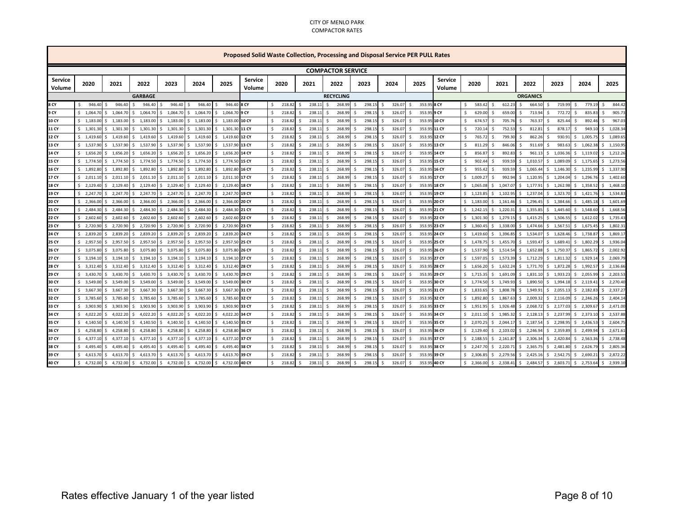#### CITY OF MENLO PARK COMPACTOR RATES

| Proposed Solid Waste Collection, Processing and Disposal Service PER PULL Rates |                          |                |                       |                |                          |                      |                          |                         |                    |        |                  |              |                         |                    |        |                        |                          |                             |                |                            |                        |                        |                |
|---------------------------------------------------------------------------------|--------------------------|----------------|-----------------------|----------------|--------------------------|----------------------|--------------------------|-------------------------|--------------------|--------|------------------|--------------|-------------------------|--------------------|--------|------------------------|--------------------------|-----------------------------|----------------|----------------------------|------------------------|------------------------|----------------|
|                                                                                 | <b>COMPACTOR SERVICE</b> |                |                       |                |                          |                      |                          |                         |                    |        |                  |              |                         |                    |        |                        |                          |                             |                |                            |                        |                        |                |
| <b>Service</b><br>Volume                                                        | 2020                     | 2021           | 2022                  | 2023           | 2024                     | 2025                 | <b>Service</b><br>Volume | 2020                    |                    | 2021   |                  | 2022         | 2023                    |                    | 2024   | 2025                   | <b>Service</b><br>Volume | 2020                        | 2021           | 2022                       | 2023                   | 2024                   | 2025           |
|                                                                                 |                          |                | <b>GARBAGE</b>        |                |                          |                      |                          |                         |                    |        | <b>RECYCLING</b> |              |                         |                    |        |                        |                          |                             |                | <b>ORGANICS</b>            |                        |                        |                |
| 8 CY                                                                            | 946.4<br>Ś.              | 946.40         | 946.40                | 946.40         | 946.40<br>$\mathsf{S}$   | 946.40<br>¢,         | 8 CY                     | 218.82<br>Ŝ.            | $\mathsf{s}$       | 238.1  | S.               | 268.99       | 298.15<br>Ś             | S.                 | 326.07 | 353.9                  | 8 CY                     | 583.42                      | 612.23<br>S.   | 664.50<br>\$               | $\mathsf{s}$<br>719.99 | $\mathsf{s}$<br>779.19 | 844.42<br>Š.   |
| 9 CY                                                                            | \$1.064.7                | 1,064.70<br>Ś  | 1,064.70<br>S.        | 1,064.70<br>Ŝ. | 1,064.70<br>S.           | 1,064.70<br>S.       | I 9 CY                   | \$<br>218.82            | -Ś                 | 238.11 | S.               | 268.99       | 298.15<br><b>S</b>      | -Ś                 | 326.07 | 353.9<br><sup>\$</sup> | 9 CY                     | 629.00<br>Ŝ.                | 659.00<br>S.   | \$<br>713.94               | 772.72<br>\$           | \$<br>835.83           | 905.73<br>Ŝ    |
| 10 CY                                                                           | \$1,183.00               | 1,183.00<br>Ś. | 1,183.00<br>l \$      |                | $$1,183.00$$ $$1,183.00$ | \$1,183.00 10 CY     |                          | Ŝ.<br>218.82            | -Ś                 | 238.11 | S.               | 268.99       | 298.15<br><b>S</b>      | - \$               | 326.07 | 353.9<br>Ŝ.            | 10 CY                    | 674.5<br>$\mathsf{\hat{S}}$ | 705.76<br>S.   | 763.37<br>\$               | 825.44<br>\$           | 892.46<br>Ŝ.           | 967.03<br>S.   |
| 11 CY                                                                           | \$1,301.30               | 1,301.30<br>Ś  | 1,301.30<br>s.        | 1,301.30<br>S. | 1,301.30<br>S.           | 1,301.30 11 CY<br>S. |                          | Ŝ.<br>218.82            |                    | 238.11 | -Ŝ               | 268.99       | 298.15                  | -\$                | 326.07 | 353.9                  | 11 CY                    | 720.1<br><b>S</b>           | 752.53<br>-S   | 812.81<br>S                | 878.1<br>Ŝ.            | Š.<br>949.10           | 1,028.34<br>Ŝ. |
| 12 CY                                                                           | \$1,419.60               | 1,419.60<br>Ś  | 1,419.60<br>- Ś       | 1,419.60<br>Ŝ. | \$1,419.60               | 1,419.60 12 CY<br>Ŝ. |                          | Ŝ.<br>218.82            | $\mathsf{\hat{S}}$ | 238.11 | S.               | 268.99       | 298.15<br><sup>\$</sup> | -Ś                 | 326.07 | 353.95 12 CY           |                          | 765.72<br>Ŝ.                | 799.30<br>S.   | 862.26<br>Ŝ.               | 930.91<br>Ŝ.           | \$1,005.75             | 1,089.65<br>Ŝ. |
| 13 CY                                                                           | \$1,537.90               | 1,537.90       | 1,537.90<br>-S        | 1,537.90<br>S. | 1,537.90<br>S.           | 1,537.90 13 CY<br>Ŝ. |                          | \$<br>218.82            | S.                 | 238.11 | - Ś              | 268.99       | 298.15                  | -Ś                 | 326.07 | 353.9                  | 13 CY                    | <sup>\$</sup><br>811.2      | 846.06<br>-S   | 911.69<br>Ŝ.               | 983.63<br>Ŝ.           | \$1,062.38             | 1,150.95<br>Ŝ. |
| 14 CY                                                                           | \$1,656.2                | 1,656.20<br>Ś  | 1,656.20<br>Ŝ.        | 1,656.20<br>Ŝ. | 1,656.20                 | 1,656.20 14 CY<br>Ś. |                          | Ŝ.<br>218.82            |                    | 238.11 | -\$              | 268.99       | 298.15                  | -Ś                 | 326.07 | 353.9                  | 14 CY                    | 856.8                       | 892.83         | 961.13<br>Ŝ                | 1,036.3<br>Ŝ.          | \$1,119.02             | Š.<br>1,212.26 |
| 15 CY                                                                           | \$1,774.5                | 1,774.50       | 1,774.50<br>Ŝ.        | 1,774.50<br>ς. | 1,774.50                 | 1.774.50 15 CY<br>S. |                          | <sup>\$</sup><br>218.82 |                    | 238.11 | - S              | 268.99       | 298.15                  | .S                 | 326.0  | 353.9                  | <b>15 CY</b>             | 902.4                       | 939.59         | 1,010.57<br>Ŝ.             | 1,089.09<br>Ŝ.         | \$1,175.65             | 1,273.56       |
| 16 CY                                                                           | \$1,892.8                | 1,892.80<br>Ś. | 1,892.80<br>- Ś       | \$1,892.80     | \$1,892.80               | 1,892.80 16 CY<br>Ŝ. |                          | \$<br>218.82            | -Ś                 | 238.11 | - Ś              | 268.99       | 298.15<br><b>S</b>      | -Ŝ                 | 326.07 | 353.9<br><sup>\$</sup> | 16 CY                    | -Ŝ<br>955.4                 | 939.59<br>- Ś  | \$1,065.44                 | \$1,146.30             | \$1,235.99             | 1,337.90<br>\$ |
| 17 CY                                                                           | \$2.011.10               | 2,011.10<br>Ś. | 2,011.10<br>l \$      |                | $$2,011.10$$ $$2,011.10$ | 2.011.10 17 CY<br>Ŝ. |                          | Ŝ.<br>218.82            | $\mathsf{\hat{S}}$ | 238.11 | S.               | 268.99<br>-Ś | 298.15                  | \$                 | 326.07 | 353.9<br>-Ś            | 17 CY                    | $5 - 1.009.2$               | 992.94<br>S.   | \$1,120.95                 | 1,204.04<br>\$         | \$1,296.76             | 1,402.60<br>Ŝ. |
| <b>18 CY</b>                                                                    | \$2,129.40               | 2,129.40       | 2,129.40<br>s.        | 2,129.40<br>S. | 2,129.40<br>S.           | 2,129.40 18 CY<br>S. |                          | 218.82<br>Ŝ.            |                    | 238.11 | -Ŝ               | 268.99       | 298.15                  | - Ś                | 326.07 | 353.95 18 CY           |                          | 1,065.0<br>S.               | 1,047.07<br>S. | 1,177.91<br>\$             | 1,262.98<br>S.         | \$1,358.52             | 1,468.10<br>Ŝ. |
| 19 CY                                                                           | \$2,247.7                | 2.247.70       | 2,247.70<br>$\sim$ \$ | Ŝ.             | 2,247.70 \$ 2,247.70     | \$2,247.70 19 CY     |                          | Ŝ.<br>218.82            | S.                 | 238.11 | S.               | 268.99       | 298.15<br>Ŝ             | S.                 | 326.07 | 353.95 19 CY           |                          | 5, 1,123.8                  | s.<br>1.102.95 | \$1,237.04                 | \$1,323.70             | \$1,421.76             | 1,534.83<br>Ś. |
| 20 CY                                                                           | \$2,366.00               | 2,366.00       | 2,366.00<br>Ŝ.        | 2,366.00<br>s. | 2,366.00<br>S.           | 2,366.0<br>S.        | <b>20 CY</b>             | \$<br>218.82            | - S                | 238.11 | - Ś              | 268.99       | 298.15<br>S.            | -Ś                 | 326.07 | 353.9                  | 20 CY                    | \$1,183.0                   | S.<br>1,161.46 | 1,296.45<br>$\ddot{\rm s}$ | 1,384.66<br>S.         | \$1,485.18             | 1,601.69<br>Ŝ. |
| 21 CY                                                                           | \$2,484.3                | 2,484.30       | 2,484.30<br>Ŝ.        | 2,484.30<br>Ŝ. | 2,484.30                 | 2,484.3<br>Ś.        | 21 CY                    | Ŝ.<br>218.82            |                    | 238.11 | -Ŝ               | 268.99       | 298.15                  | Ŝ                  | 326.07 | 353.9                  | 21 CY                    | $5 - 1,242.1$               | 1,220.3<br>s.  | 1,355.85<br>Ŝ.             | \$<br>1,445.6          | \$1,548.60             | 1,668.56<br>Ŝ. |
| 22 CY                                                                           | \$2,602.6                | 2,602.60       | 2,602.60              | 2,602.60       | 2,602.60                 | 2,602.60<br>ς.       | <b>22 CY</b>             | <sup>\$</sup><br>218.82 |                    | 238.11 | S.               | 268.99       | 298.15                  | Ŝ                  | 326.0  | 353.9                  | 22 CY                    | \$1,301.3                   | 1,279.1<br>-S  | 1,415.25<br>Ŝ.             | 1,506.5<br>Ŝ.          | \$1,612.02             | 1,735.4        |
| 23 CY                                                                           | \$2,720.9                | 2,720.90<br>Ś  | 2,720.90<br>s.        | 2,720.90<br>Ŝ. | \$2,720.90               | \$2,720.90 23 CY     |                          | \$<br>218.82            | -Ś                 | 238.11 | - Ś              | 268.99       | 298.15<br><b>S</b>      | -Ŝ                 | 326.07 | 353.9<br><sup>\$</sup> | 5 23 CY                  | \$1,360.4                   | S.<br>1,338.00 | \$1,474.66                 | \$1,567.5              | \$1,675.45             | 1,802.3<br>\$  |
| 24 CY                                                                           | \$2,839.20               | 2,839.20<br>Ś. | 2,839.20<br>l S       | Ŝ.             | 2,839.20 \$ 2,839.20     | 2,839.20 24 CY<br>Ŝ. |                          | <sup>\$</sup><br>218.82 | $\mathsf{\hat{S}}$ | 238.11 | S.               | 268.99       | 298.15<br><b>S</b>      | - \$               | 326.07 | 353.95<br>Š.           | 24 CY                    | $5$ 1.419.60                | 1,396.85<br>s. | 1,534.07<br>\$             | 1,628.4<br>\$          | \$1,738.87             | 1,869.1<br>Ŝ.  |
| 25 CY                                                                           | \$2,957.50               | 2,957.50       | 2,957.50<br>l \$      | 2,957.50<br>S. | 2,957.50                 | 2,957.50 25 CY<br>s. |                          | 218.82<br>Ŝ.            |                    | 238.11 | -\$              | 268.99       | 298.15                  | - Ś                | 326.07 | 353.95                 | 5 25 CY                  | 1,478.7<br>S.               | 1,455.70<br>S. | 1,593.47<br>S.             | 1,689.4<br>\$          | 1,802.29<br>\$         | 1,936.04<br>Ŝ. |
| 26 CY                                                                           | \$3,075.80               | 3,075.80       | 3,075.80<br>l S       | \$3,075.80     | \$3,075.80               | \$ 3,075.80 26 CY    |                          | Ŝ.<br>218.82            | $\mathsf{\hat{S}}$ | 238.11 | S.               | 268.99       | 298.15<br><sup>\$</sup> | S.                 | 326.07 | 353.95 26 CY           |                          | \$1,537.9                   | s.<br>1,514.54 | \$1,652.88                 | \$1,750.3              | \$1,865.72             | 2,002.92<br>Š. |
| 27 CY                                                                           | \$3,194.1                | 3,194.10<br>s  | 3,194.10<br>-S        | 3,194.10<br>S. | \$3,194.10               | \$ 3,194.10 27 CY    |                          | \$<br>218.82            | - S                | 238.11 | - Ś              | 268.99       | 298.15<br>.S            | -Ŝ                 | 326.07 | 353.9                  | 5 27 CY                  | \$1,597.0                   | S.<br>1,573.39 | \$1,712.29                 | 1,811.32<br>S.         | \$1,929.14             | 2,069.79<br>Ŝ. |
| <b>28 CY</b>                                                                    | \$3,312.4                | 3,312.40<br>Ś  | Ŝ.<br>3,312.40        | 3,312.40<br>Ŝ. | 3,312.40<br>S.           | 3,312.4<br>Ś.        | <b>28 CY</b>             | Ŝ.<br>218.82            |                    | 238.11 | -Ŝ               | 268.99       | 298.15                  | S.                 | 326.07 | 353.9                  | <b>28 CY</b>             | 1,656.2<br>S.               | 1,632.24<br>\$ | 1,771.70<br>\$             | 1,872.2<br>\$          | \$1,992.5              | 2,136.66<br>Š. |
| 29 CY                                                                           | \$3,430.7                | 3,430.70       | 3,430.7<br>Ŝ.         | 3,430.70<br>s. | 3,430.70                 | 3,430.70<br>Ś.       | <b>29 CY</b>             | Ŝ.<br>218.82            | S.                 | 238.11 | S.               | 268.99       | 298.15                  | Ŝ                  | 326.07 | 353.9                  | 29 CY                    | \$1,715.3                   | 1,691.09<br>S. | 1,831.10<br>Ŝ.             | 1,933.2<br>\$          | \$2,055.99             | 2,203.5<br>Ŝ.  |
| 30 CY                                                                           | \$3,549.00               | 3,549.00<br>Ś. | - Ś<br>3,549.00       | \$3,549.00     | \$3,549.00               | \$ 3,549.00 30 CY    |                          | \$<br>218.82            | -Ś                 | 238.11 | S.               | 268.99       | 298.15<br><b>S</b>      | s.                 | 326.07 | 353.9<br>Š.            | 5 30 CY                  | \$1,774.5                   | \$1,749.93     | \$1,890.50                 | \$1,994.18             | \$2,119.41             | s.<br>2,270.40 |
| 31 CY                                                                           | \$3,667.30               | 3,667.30<br>Ś. | 3,667.30<br>l S       | S.             | 3,667.30 \$ 3,667.30     | 3,667.30 31 CY<br>Ŝ. |                          | 218.82<br>Ŝ.            | $\mathsf{\hat{S}}$ | 238.11 | S.               | 268.99       | 298.15<br><b>S</b>      | - \$               | 326.07 | 353.95 31 CY<br>Ŝ.     |                          | \$1,833.65                  | 1,808.78<br>S. | 1,949.91<br>\$             | 2,055.13<br>\$         | \$2,182.83             | 2,337.2<br>Ŝ.  |
| 32 CY                                                                           | \$3,785.60               | 3,785.60       | 3,785.60<br>l \$      | 3,785.60<br>S. | 3,785.60                 | 3,785.60 32 CY<br>S. |                          | 218.82<br>Ŝ.            |                    | 238.11 | -Ŝ               | 268.99       | 298.15                  | -\$                | 326.07 | 353.95 32 CY           |                          | 1,892.8<br>S.               | 1,867.63<br>S. | 2,009.32<br>S.             | 2,116.09<br>S.         | \$2,246.26             | 2,404.14<br>Ŝ. |
| 33 CY                                                                           | \$3,903.90               | 3.903.90<br>Ś  | l s<br>3,903.90       | \$3,903.90     | \$3,903.90               | \$ 3,903.90 33 CY    |                          | Ŝ.<br>218.82            | $\mathsf{\hat{S}}$ | 238.11 | Ŝ.               | 268.99       | 298.15<br><sup>\$</sup> | -\$                | 326.07 | 353.95 33 CY           |                          | \$1,951.95                  | Ŝ.<br>1,926.48 | \$2,068.72                 | \$2,177.03             | \$2,309.67             | 2,471.00<br>Š. |
| 34 CY                                                                           | \$4,022.20               | 4,022.20       | 4,022.20<br>Ŝ.        | 4,022.20<br>ς. | 4,022.20<br>$\zeta$      | 4,022.20 34 CY<br>S. |                          | \$<br>218.82            | $\hat{\zeta}$      | 238.11 | S.               | 268.99       | 298.15<br>S.            | -Ŝ                 | 326.07 | 353.9                  | <b>34 CY</b>             | \$2,011.1                   | 1,985.32<br>S. | \$2,128.13                 | 2,237.99<br>\$.        | \$2,373.10             | 2,537.88<br>Ŝ. |
| 35 CY                                                                           | \$4,140.5                | 4,140.5        | 4,140.50              | 4,140.50<br>Š. | 4,140.5                  | 4,140.5              | 35 CY                    | Ŝ.<br>218.8             |                    | 238.1  | $\mathsf{S}$     | 268.99       | 298.15                  | Ś                  | 326.0  | 353.9                  | 35 CY                    | 2,070.2<br>Ŝ.               | 2,044.1<br>Ŝ.  | 2,187.54<br>\$             | 2,298.9<br>Ś.          | \$2,436.5              | 2,604.7<br>Š.  |
| 36 CY                                                                           | \$4,258.80               | 4,258.80       | 4,258.80              | 4,258.80<br>S. | 4,258.80                 | 4,258.80 36 CY<br>Ś. |                          | Ŝ.<br>218.82            | Ŝ.                 | 238.11 | S.               | 268.99       | 298.15<br><b>&lt;</b>   | Ś                  | 326.07 | 353.9                  | <b>36 CY</b>             | \$2,129.4                   | 2,103.02<br>S. | 2,246.94<br>\$             | 2,359.8<br>\$          | \$2,499.94             | 2,671.6<br>Ŝ.  |
| 37 CY                                                                           | Ś.<br>4,377.1            | 4,377.10<br>Ś  | s.<br>4,377.10        | 4,377.10<br>Ŝ. | 4,377.10<br>S.           | Ŝ.<br>4,377.10 37 CY |                          | \$<br>218.82            | -Ś                 | 238.11 | - Ś              | 268.99       | 298.15<br><b>S</b>      | \$.                | 326.07 | 353.9<br><sup>\$</sup> | 537 CY                   | \$2,188.5                   | S.<br>2,161.8  | \$<br>2,306.34             | S.<br>2,420.84         | \$2,563.36             | \$<br>2,738.48 |
| 38 CY                                                                           | 4,495.4<br>Ś.            | 4,495.40<br>Ś  | 4,495.40<br>l S       | 4,495.40<br>s. | 4,495.40<br>S.           | 4,495.40 38 CY<br>Ś. |                          | 218.82<br>Ŝ.            | -Ś                 | 238.11 | S.               | 268.99       | 298.15<br><b>S</b>      | -\$                | 326.07 | 353.9<br>Ŝ.            | 538 CY                   | \$2,247.70                  | 2,220.71<br>S. | 2,365.75<br>\$             | \$<br>2,481.8          | \$<br>2,626.79         | 2,805.36<br>Ŝ. |
| 39 CY                                                                           | \$<br>4,613.7            | 4,613.70       | 4,613.70<br>-S        | 4,613.70       | 4,613.70                 | 4,613.70<br>S.       | 39 CY                    | Ŝ.<br>218.82            |                    | 238.11 | -\$              | 268.99       | 298.15                  | -S                 | 326.07 | 353.9                  | 39 CY                    | 2,306.8                     | 2,279.56<br>S. | 2,425.16<br>S.             | 2,542.75<br>s.         | \$2,690.21             | 2,872.22<br>Ŝ. |
| 40 CY                                                                           | \$4,732.00               | 4,732.00<br>Ś. | l \$<br>4,732.00      |                | $$4,732.00$ $$4,732.00$  | \$4.732.00 40 CY     |                          | $\mathsf{S}$<br>218.82  | $\mathsf{\hat{S}}$ | 238.11 | S.               | 268.99       | 298.15<br><b>S</b>      | $\mathsf{\hat{S}}$ | 326.07 | 353.95 40 CY<br>Ŝ.     |                          | \$2,366.00                  |                | $$2,338.41$ $$2,484.57$    | \$2,603.71             | \$2,753.64             | 2,939.10<br>\$ |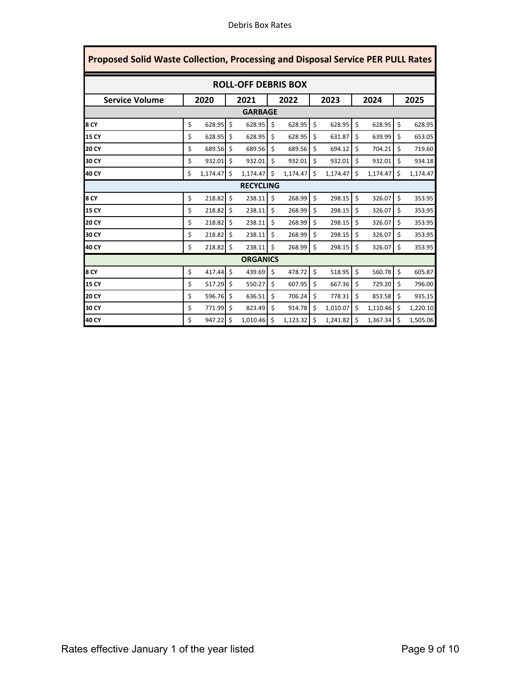| Proposed Solid Waste Collection, Processing and Disposal Service PER PULL Rates |    |          |                           |                 |    |          |    |          |    |               |    |          |  |
|---------------------------------------------------------------------------------|----|----------|---------------------------|-----------------|----|----------|----|----------|----|---------------|----|----------|--|
| <b>ROLL-OFF DEBRIS BOX</b>                                                      |    |          |                           |                 |    |          |    |          |    |               |    |          |  |
| <b>Service Volume</b>                                                           |    | 2020     |                           | 2021            |    | 2022     |    | 2023     |    | 2024          |    | 2025     |  |
|                                                                                 |    |          |                           | <b>GARBAGE</b>  |    |          |    |          |    |               |    |          |  |
| 8 CY                                                                            | \$ | 628.95   | \$                        | 628.95          | \$ | 628.95   | \$ | 628.95   | \$ | 628.95        | \$ | 628.95   |  |
| <b>15 CY</b>                                                                    | \$ | 628.95   | \$                        | 628.95          | \$ | 628.95   | \$ | 631.87   | \$ | 639.99        | \$ | 653.05   |  |
| <b>20 CY</b>                                                                    | \$ | 689.56   | \$                        | 689.56          | \$ | 689.56   | \$ | 694.12   | \$ | 704.21        | \$ | 719.60   |  |
| 30 CY                                                                           | \$ | 932.01   | \$                        | 932.01          | \$ | 932.01   | \$ | 932.01   | \$ | 932.01        | \$ | 934.18   |  |
| 40 CY                                                                           | \$ | 1,174.47 | Ś                         | 1,174.47        | \$ | 1,174.47 | Ś  | 1,174.47 | \$ | 1,174.47      | \$ | 1,174.47 |  |
| <b>RECYCLING</b>                                                                |    |          |                           |                 |    |          |    |          |    |               |    |          |  |
| 8 CY                                                                            | \$ | 218.82   | \$                        | 238.11          | \$ | 268.99   | \$ | 298.15   | \$ | 326.07        | \$ | 353.95   |  |
| <b>15 CY</b>                                                                    | \$ | 218.82   | \$                        | 238.11          | \$ | 268.99   | \$ | 298.15   | \$ | 326.07        | \$ | 353.95   |  |
| <b>20 CY</b>                                                                    | \$ | 218.82   | \$                        | 238.11          | \$ | 268.99   | \$ | 298.15   | \$ | 326.07        | \$ | 353.95   |  |
| 30 CY                                                                           | \$ | 218.82   | \$                        | 238.11          | \$ | 268.99   | \$ | 298.15   | \$ | 326.07        | Ś  | 353.95   |  |
| 40 CY                                                                           | \$ | 218.82   | \$                        | 238.11          | Ś  | 268.99   | Ś  | 298.15   | \$ | 326.07        | \$ | 353.95   |  |
|                                                                                 |    |          |                           | <b>ORGANICS</b> |    |          |    |          |    |               |    |          |  |
| 8 CY                                                                            | \$ | 417.44   | \$                        | 439.69          | \$ | 478.72   | \$ | 518.95   | \$ | 560.78        | \$ | 605.87   |  |
| <b>15 CY</b>                                                                    | \$ | 517.29   | \$                        | 550.27          | \$ | 607.95   | Ś  | 667.36   | \$ | 729.20        | \$ | 796.00   |  |
| <b>20 CY</b>                                                                    | \$ | 596.76   | $\boldsymbol{\mathsf{S}}$ | 636.51          | \$ | 706.24   | \$ | 778.31   | \$ | 853.58        | \$ | 935.15   |  |
| 30 CY                                                                           | \$ | 771.99   | \$                        | 823.49          | \$ | 914.78   | \$ | 1,010.07 | \$ | $1,110.46$ \$ |    | 1,220.10 |  |
| 40 CY                                                                           | \$ | 947.22   | \$                        | 1,010.46        | \$ | 1,123.32 | Ś  | 1,241.82 | Ś  | 1,367.34      | Ś. | 1,505.06 |  |